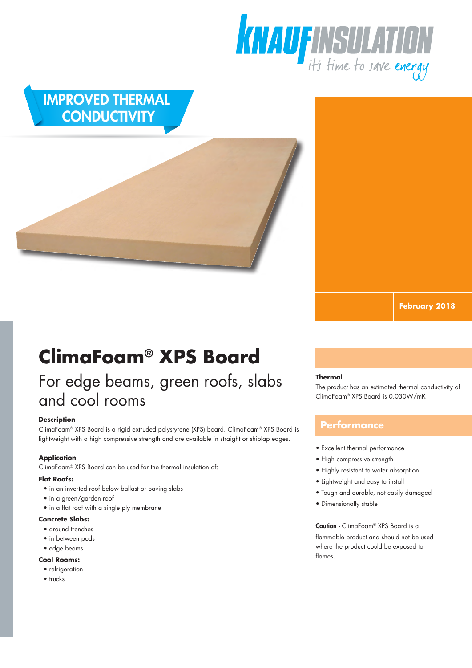

## IMPROVED THERMAL **CONDUCTIVITY**

# **ClimaFoam® XPS Board**

# For edge beams, green roofs, slabs and cool rooms

#### **Description**

ClimaFoam® XPS Board is a rigid extruded polystyrene (XPS) board. ClimaFoam® XPS Board is lightweight with a high compressive strength and are available in straight or shiplap edges.

#### **Application**

ClimaFoam® XPS Board can be used for the thermal insulation of:

#### **Flat Roofs:**

- in an inverted roof below ballast or paving slabs
- in a green/garden roof
- in a flat roof with a single ply membrane

#### **Concrete Slabs:**

- around trenches
- in between pods
- edge beams

#### **Cool Rooms:**

- refrigeration
- trucks

#### **Thermal**

The product has an estimated thermal conductivity of ClimaFoam® XPS Board is 0.030W/mK

**February 2018**

#### **Performance**

- Excellent thermal performance
- High compressive strength
- Highly resistant to water absorption
- Lightweight and easy to install
- Tough and durable, not easily damaged
- Dimensionally stable

Caution - ClimaFoam® XPS Board is a flammable product and should not be used where the product could be exposed to flames.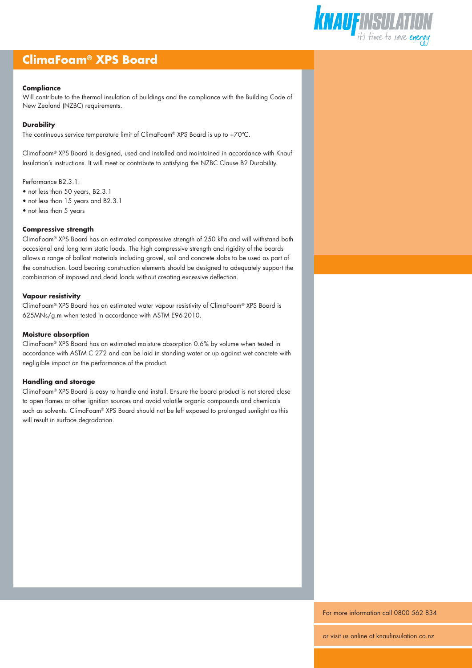### **ClimaFoam® XPS Board**

#### **Compliance**

Will contribute to the thermal insulation of buildings and the compliance with the Building Code of New Zealand (NZBC) requirements.

#### **Durability**

The continuous service temperature limit of ClimaFoam® XPS Board is up to +70ºC.

ClimaFoam® XPS Board is designed, used and installed and maintained in accordance with Knauf Insulation's instructions. It will meet or contribute to satisfying the NZBC Clause B2 Durability.

Performance B2.3.1:

- not less than 50 years, B2.3.1
- not less than 15 years and B2.3.1
- not less than 5 years

#### **Compressive strength**

ClimaFoam® XPS Board has an estimated compressive strength of 250 kPa and will withstand both occasional and long term static loads. The high compressive strength and rigidity of the boards allows a range of ballast materials including gravel, soil and concrete slabs to be used as part of the construction. Load bearing construction elements should be designed to adequately support the combination of imposed and dead loads without creating excessive deflection.

#### **Vapour resistivity**

ClimaFoam® XPS Board has an estimated water vapour resistivity of ClimaFoam® XPS Board is 625MNs/g.m when tested in accordance with ASTM E96-2010.

#### **Moisture absorption**

ClimaFoam® XPS Board has an estimated moisture absorption 0.6% by volume when tested in accordance with ASTM C 272 and can be laid in standing water or up against wet concrete with negligible impact on the performance of the product.

#### **Handling and storage**

ClimaFoam® XPS Board is easy to handle and install. Ensure the board product is not stored close to open flames or other ignition sources and avoid volatile organic compounds and chemicals such as solvents. ClimaFoam® XPS Board should not be left exposed to prolonged sunlight as this will result in surface degradation.



For more information call 0800 562 834